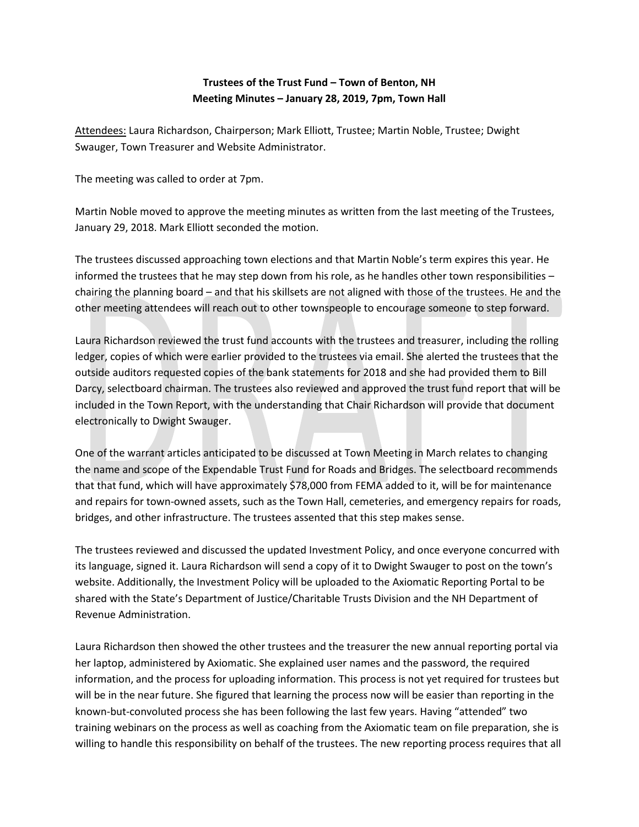## **Trustees of the Trust Fund – Town of Benton, NH Meeting Minutes – January 28, 2019, 7pm, Town Hall**

Attendees: Laura Richardson, Chairperson; Mark Elliott, Trustee; Martin Noble, Trustee; Dwight Swauger, Town Treasurer and Website Administrator.

The meeting was called to order at 7pm.

Martin Noble moved to approve the meeting minutes as written from the last meeting of the Trustees, January 29, 2018. Mark Elliott seconded the motion.

The trustees discussed approaching town elections and that Martin Noble's term expires this year. He informed the trustees that he may step down from his role, as he handles other town responsibilities – chairing the planning board – and that his skillsets are not aligned with those of the trustees. He and the other meeting attendees will reach out to other townspeople to encourage someone to step forward.

Laura Richardson reviewed the trust fund accounts with the trustees and treasurer, including the rolling ledger, copies of which were earlier provided to the trustees via email. She alerted the trustees that the outside auditors requested copies of the bank statements for 2018 and she had provided them to Bill Darcy, selectboard chairman. The trustees also reviewed and approved the trust fund report that will be included in the Town Report, with the understanding that Chair Richardson will provide that document electronically to Dwight Swauger.

One of the warrant articles anticipated to be discussed at Town Meeting in March relates to changing the name and scope of the Expendable Trust Fund for Roads and Bridges. The selectboard recommends that that fund, which will have approximately \$78,000 from FEMA added to it, will be for maintenance and repairs for town-owned assets, such as the Town Hall, cemeteries, and emergency repairs for roads, bridges, and other infrastructure. The trustees assented that this step makes sense.

The trustees reviewed and discussed the updated Investment Policy, and once everyone concurred with its language, signed it. Laura Richardson will send a copy of it to Dwight Swauger to post on the town's website. Additionally, the Investment Policy will be uploaded to the Axiomatic Reporting Portal to be shared with the State's Department of Justice/Charitable Trusts Division and the NH Department of Revenue Administration.

Laura Richardson then showed the other trustees and the treasurer the new annual reporting portal via her laptop, administered by Axiomatic. She explained user names and the password, the required information, and the process for uploading information. This process is not yet required for trustees but will be in the near future. She figured that learning the process now will be easier than reporting in the known-but-convoluted process she has been following the last few years. Having "attended" two training webinars on the process as well as coaching from the Axiomatic team on file preparation, she is willing to handle this responsibility on behalf of the trustees. The new reporting process requires that all